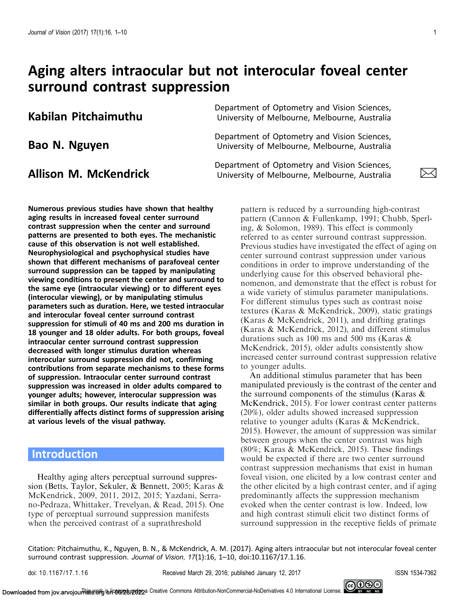# Aging alters intraocular but not interocular foveal center surround contrast suppression

Bao N. Nguyen

**Kabilan Pitchaimuthu** Department of Optometry and Vision Sciences,<br>University of Melbourne, Melbourne, Australia

Department of Optometry and Vision Sciences, University of Melbourne, Melbourne, Australia

**Allison M. McKendrick Bepartment of Optometry and Vision Sciences,**<br>Notiversity of Melbourne, Melbourne, Australia

Numerous previous studies have shown that healthy aging results in increased foveal center surround contrast suppression when the center and surround patterns are presented to both eyes. The mechanistic cause of this observation is not well established. Neurophysiological and psychophysical studies have shown that different mechanisms of parafoveal center surround suppression can be tapped by manipulating viewing conditions to present the center and surround to the same eye (intraocular viewing) or to different eyes (interocular viewing), or by manipulating stimulus parameters such as duration. Here, we tested intraocular and interocular foveal center surround contrast suppression for stimuli of 40 ms and 200 ms duration in 18 younger and 18 older adults. For both groups, foveal intraocular center surround contrast suppression decreased with longer stimulus duration whereas interocular surround suppression did not, confirming contributions from separate mechanisms to these forms of suppression. Intraocular center surround contrast suppression was increased in older adults compared to younger adults; however, interocular suppression was similar in both groups. Our results indicate that aging differentially affects distinct forms of suppression arising at various levels of the visual pathway.

## Introduction

Healthy aging alters perceptual surround suppression (Betts, Taylor, Sekuler, & Bennett, [2005;](#page-8-0) Karas & McKendrick, [2009](#page-8-0), [2011, 2012](#page-8-0), [2015;](#page-9-0) Yazdani, Serrano-Pedraza, Whittaker, Trevelyan, & Read, [2015](#page-9-0)). One type of perceptual surround suppression manifests when the perceived contrast of a suprathreshold

pattern is reduced by a surrounding high-contrast pattern (Cannon & Fullenkamp, [1991;](#page-8-0) Chubb, Sperling, & Solomon, [1989\)](#page-8-0). This effect is commonly referred to as center surround contrast suppression. Previous studies have investigated the effect of aging on center surround contrast suppression under various conditions in order to improve understanding of the underlying cause for this observed behavioral phenomenon, and demonstrate that the effect is robust for a wide variety of stimulus parameter manipulations. For different stimulus types such as contrast noise textures (Karas & McKendrick, [2009](#page-8-0)), static gratings (Karas & McKendrick, [2011\)](#page-8-0), and drifting gratings (Karas & McKendrick, [2012\)](#page-8-0), and different stimulus durations such as 100 ms and 500 ms (Karas & McKendrick, [2015\)](#page-9-0), older adults consistently show increased center surround contrast suppression relative to younger adults.

An additional stimulus parameter that has been manipulated previously is the contrast of the center and the surround components of the stimulus (Karas & McKendrick, [2015\)](#page-9-0). For lower contrast center patterns (20%), older adults showed increased suppression relative to younger adults (Karas & McKendrick, [2015\)](#page-9-0). However, the amount of suppression was similar between groups when the center contrast was high (80%; Karas & McKendrick, [2015](#page-9-0)). These findings would be expected if there are two center surround contrast suppression mechanisms that exist in human foveal vision, one elicited by a low contrast center and the other elicited by a high contrast center, and if aging predominantly affects the suppression mechanism evoked when the center contrast is low. Indeed, low and high contrast stimuli elicit two distinct forms of surround suppression in the receptive fields of primate

Citation: Pitchaimuthu, K., Nguyen, B. N., & McKendrick, A. M. (2017). Aging alters intraocular but not interocular foveal center surround contrast suppression. Journal of Vision, 17(1):16, 1–10, doi:10.1167/17.1.16.

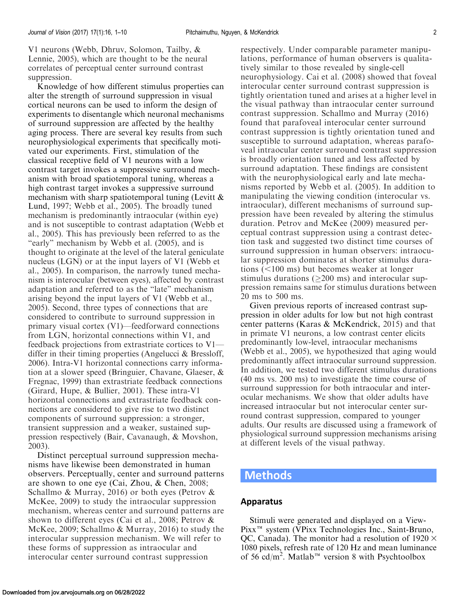V1 neurons (Webb, Dhruv, Solomon, Tailby, & Lennie, [2005](#page-9-0)), which are thought to be the neural correlates of perceptual center surround contrast suppression.

Knowledge of how different stimulus properties can alter the strength of surround suppression in visual cortical neurons can be used to inform the design of experiments to disentangle which neuronal mechanisms of surround suppression are affected by the healthy aging process. There are several key results from such neurophysiological experiments that specifically motivated our experiments. First, stimulation of the classical receptive field of V1 neurons with a low contrast target invokes a suppressive surround mechanism with broad spatiotemporal tuning, whereas a high contrast target invokes a suppressive surround mechanism with sharp spatiotemporal tuning (Levitt  $\&$ Lund, [1997;](#page-9-0) Webb et al., [2005\)](#page-9-0). The broadly tuned mechanism is predominantly intraocular (within eye) and is not susceptible to contrast adaptation (Webb et al., [2005\)](#page-9-0). This has previously been referred to as the "early" mechanism by Webb et al. ([2005\)](#page-9-0), and is thought to originate at the level of the lateral geniculate nucleus (LGN) or at the input layers of V1 (Webb et al., [2005\)](#page-9-0). In comparison, the narrowly tuned mechanism is interocular (between eyes), affected by contrast adaptation and referred to as the ''late'' mechanism arising beyond the input layers of V1 (Webb et al., [2005\)](#page-9-0). Second, three types of connections that are considered to contribute to surround suppression in primary visual cortex (V1)—feedforward connections from LGN, horizontal connections within V1, and feedback projections from extrastriate cortices to V1 differ in their timing properties (Angelucci & Bressloff, [2006\)](#page-8-0). Intra-V1 horizontal connections carry information at a slower speed (Bringuier, Chavane, Glaeser, & Fregnac, [1999\)](#page-8-0) than extrastriate feedback connections (Girard, Hupe, & Bullier, [2001\)](#page-8-0). These intra-V1 horizontal connections and extrastriate feedback connections are considered to give rise to two distinct components of surround suppression: a stronger, transient suppression and a weaker, sustained suppression respectively (Bair, Cavanaugh, & Movshon, [2003\)](#page-8-0).

Distinct perceptual surround suppression mechanisms have likewise been demonstrated in human observers. Perceptually, center and surround patterns are shown to one eye (Cai, Zhou, & Chen, [2008](#page-8-0); Schallmo & Murray, [2016](#page-9-0)) or both eyes (Petrov & McKee, [2009](#page-9-0)) to study the intraocular suppression mechanism, whereas center and surround patterns are shown to different eyes (Cai et al., [2008;](#page-8-0) Petrov & McKee, [2009;](#page-9-0) Schallmo & Murray, [2016](#page-9-0)) to study the interocular suppression mechanism. We will refer to these forms of suppression as intraocular and interocular center surround contrast suppression

respectively. Under comparable parameter manipulations, performance of human observers is qualitatively similar to those revealed by single-cell neurophysiology. Cai et al. [\(2008\)](#page-8-0) showed that foveal interocular center surround contrast suppression is tightly orientation tuned and arises at a higher level in the visual pathway than intraocular center surround contrast suppression. Schallmo and Murray ([2016\)](#page-9-0) found that parafoveal interocular center surround contrast suppression is tightly orientation tuned and susceptible to surround adaptation, whereas parafoveal intraocular center surround contrast suppression is broadly orientation tuned and less affected by surround adaptation. These findings are consistent with the neurophysiological early and late mechanisms reported by Webb et al. ([2005](#page-9-0)). In addition to manipulating the viewing condition (interocular vs. intraocular), different mechanisms of surround suppression have been revealed by altering the stimulus duration. Petrov and McKee ([2009\)](#page-9-0) measured perceptual contrast suppression using a contrast detection task and suggested two distinct time courses of surround suppression in human observers: intraocular suppression dominates at shorter stimulus durations  $(<100 \text{ ms})$  but becomes weaker at longer stimulus durations ( $\geq$ 200 ms) and interocular suppression remains same for stimulus durations between 20 ms to 500 ms.

Given previous reports of increased contrast suppression in older adults for low but not high contrast center patterns (Karas & McKendrick, [2015](#page-9-0)) and that in primate V1 neurons, a low contrast center elicits predominantly low-level, intraocular mechanisms (Webb et al., [2005\)](#page-9-0), we hypothesized that aging would predominantly affect intraocular surround suppression. In addition, we tested two different stimulus durations (40 ms vs. 200 ms) to investigate the time course of surround suppression for both intraocular and interocular mechanisms. We show that older adults have increased intraocular but not interocular center surround contrast suppression, compared to younger adults. Our results are discussed using a framework of physiological surround suppression mechanisms arising at different levels of the visual pathway.

### Methods

#### Apparatus

Stimuli were generated and displayed on a View-Pixx<sup>™</sup> system (VPixx Technologies Inc., Saint-Bruno, QC, Canada). The monitor had a resolution of  $1920 \times$ 1080 pixels, refresh rate of 120 Hz and mean luminance of 56 cd/m<sup>2</sup>. Matlab<sup>™</sup> version 8 with Psychtoolbox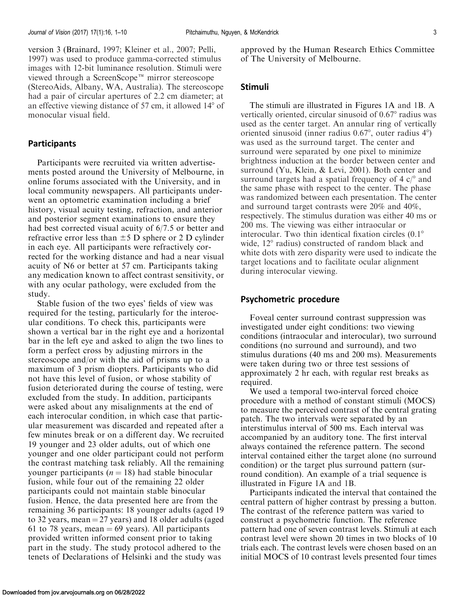version 3 (Brainard, [1997](#page-8-0); Kleiner et al., [2007](#page-9-0); Pelli, [1997\)](#page-9-0) was used to produce gamma-corrected stimulus images with 12-bit luminance resolution. Stimuli were viewed through a ScreenScope<sup> $m$ </sup> mirror stereoscope (StereoAids, Albany, WA, Australia). The stereoscope had a pair of circular apertures of 2.2 cm diameter; at an effective viewing distance of 57 cm, it allowed  $14^{\circ}$  of monocular visual field.

#### **Participants**

Participants were recruited via written advertisements posted around the University of Melbourne, in online forums associated with the University, and in local community newspapers. All participants underwent an optometric examination including a brief history, visual acuity testing, refraction, and anterior and posterior segment examinations to ensure they had best corrected visual acuity of 6/7.5 or better and refractive error less than  $\pm$  5 D sphere or 2 D cylinder in each eye. All participants were refractively corrected for the working distance and had a near visual acuity of N6 or better at 57 cm. Participants taking any medication known to affect contrast sensitivity, or with any ocular pathology, were excluded from the study.

Stable fusion of the two eyes' fields of view was required for the testing, particularly for the interocular conditions. To check this, participants were shown a vertical bar in the right eye and a horizontal bar in the left eye and asked to align the two lines to form a perfect cross by adjusting mirrors in the stereoscope and/or with the aid of prisms up to a maximum of 3 prism diopters. Participants who did not have this level of fusion, or whose stability of fusion deteriorated during the course of testing, were excluded from the study. In addition, participants were asked about any misalignments at the end of each interocular condition, in which case that particular measurement was discarded and repeated after a few minutes break or on a different day. We recruited 19 younger and 23 older adults, out of which one younger and one older participant could not perform the contrast matching task reliably. All the remaining younger participants ( $n = 18$ ) had stable binocular fusion, while four out of the remaining 22 older participants could not maintain stable binocular fusion. Hence, the data presented here are from the remaining 36 participants: 18 younger adults (aged 19 to 32 years, mean  $=$  27 years) and 18 older adults (aged 61 to 78 years, mean  $= 69$  years). All participants provided written informed consent prior to taking part in the study. The study protocol adhered to the tenets of Declarations of Helsinki and the study was

approved by the Human Research Ethics Committee of The University of Melbourne.

#### Stimuli

The stimuli are illustrated in [Figures 1A](#page-3-0) and [1B.](#page-3-0) A vertically oriented, circular sinusoid of 0.67° radius was used as the center target. An annular ring of vertically oriented sinusoid (inner radius  $0.67^{\circ}$ , outer radius  $4^{\circ}$ ) was used as the surround target. The center and surround were separated by one pixel to minimize brightness induction at the border between center and surround (Yu, Klein, & Levi, [2001\)](#page-9-0). Both center and surround targets had a spatial frequency of 4  $c$ <sup>o</sup> and the same phase with respect to the center. The phase was randomized between each presentation. The center and surround target contrasts were 20% and 40%, respectively. The stimulus duration was either 40 ms or 200 ms. The viewing was either intraocular or interocular. Two thin identical fixation circles  $(0.1^{\circ})$ wide,  $12^{\circ}$  radius) constructed of random black and white dots with zero disparity were used to indicate the target locations and to facilitate ocular alignment during interocular viewing.

#### Psychometric procedure

Foveal center surround contrast suppression was investigated under eight conditions: two viewing conditions (intraocular and interocular), two surround conditions (no surround and surround), and two stimulus durations (40 ms and 200 ms). Measurements were taken during two or three test sessions of approximately 2 hr each, with regular rest breaks as required.

We used a temporal two-interval forced choice procedure with a method of constant stimuli (MOCS) to measure the perceived contrast of the central grating patch. The two intervals were separated by an interstimulus interval of 500 ms. Each interval was accompanied by an auditory tone. The first interval always contained the reference pattern. The second interval contained either the target alone (no surround condition) or the target plus surround pattern (surround condition). An example of a trial sequence is illustrated in [Figure 1A](#page-3-0) and [1B](#page-3-0).

Participants indicated the interval that contained the central pattern of higher contrast by pressing a button. The contrast of the reference pattern was varied to construct a psychometric function. The reference pattern had one of seven contrast levels. Stimuli at each contrast level were shown 20 times in two blocks of 10 trials each. The contrast levels were chosen based on an initial MOCS of 10 contrast levels presented four times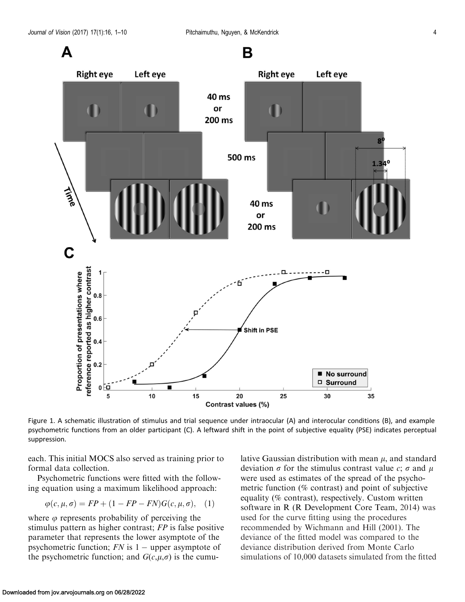<span id="page-3-0"></span>

Figure 1. A schematic illustration of stimulus and trial sequence under intraocular (A) and interocular conditions (B), and example psychometric functions from an older participant (C). A leftward shift in the point of subjective equality (PSE) indicates perceptual suppression.

each. This initial MOCS also served as training prior to formal data collection.

Psychometric functions were fitted with the following equation using a maximum likelihood approach:

$$
\varphi(c, \mu, \sigma) = FP + (1 - FP - FN)G(c, \mu, \sigma), \quad (1)
$$

where  $\varphi$  represents probability of perceiving the stimulus pattern as higher contrast; FP is false positive parameter that represents the lower asymptote of the psychometric function;  $FN$  is  $1$  – upper asymptote of the psychometric function; and  $G(c,\mu,\sigma)$  is the cumulative Gaussian distribution with mean  $\mu$ , and standard deviation  $\sigma$  for the stimulus contrast value c;  $\sigma$  and  $\mu$ were used as estimates of the spread of the psychometric function (% contrast) and point of subjective equality (% contrast), respectively. Custom written software in R (R Development Core Team, [2014\)](#page-9-0) was used for the curve fitting using the procedures recommended by Wichmann and Hill ([2001](#page-9-0)). The deviance of the fitted model was compared to the deviance distribution derived from Monte Carlo simulations of 10,000 datasets simulated from the fitted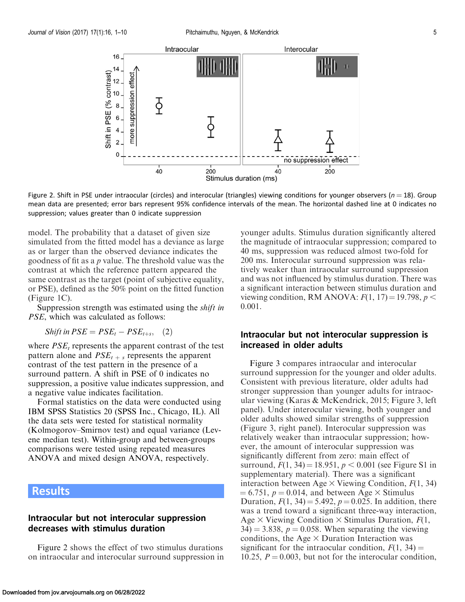

Figure 2. Shift in PSE under intraocular (circles) and interocular (triangles) viewing conditions for younger observers ( $n = 18$ ). Group mean data are presented; error bars represent 95% confidence intervals of the mean. The horizontal dashed line at 0 indicates no suppression; values greater than 0 indicate suppression

model. The probability that a dataset of given size simulated from the fitted model has a deviance as large as or larger than the observed deviance indicates the goodness of fit as a p value. The threshold value was the contrast at which the reference pattern appeared the same contrast as the target (point of subjective equality, or PSE), defined as the 50% point on the fitted function ([Figure 1C](#page-3-0)).

Suppression strength was estimated using the shift in PSE, which was calculated as follows:

Shift in  $PSE = PSE_t - PSE_{t+s}$ , (2)

where  $PSE_t$  represents the apparent contrast of the test pattern alone and  $PSE_{t+s}$  represents the apparent contrast of the test pattern in the presence of a surround pattern. A shift in PSE of 0 indicates no suppression, a positive value indicates suppression, and a negative value indicates facilitation.

Formal statistics on the data were conducted using IBM SPSS Statistics 20 (SPSS Inc., Chicago, IL). All the data sets were tested for statistical normality (Kolmogorov–Smirnov test) and equal variance (Levene median test). Within-group and between-groups comparisons were tested using repeated measures ANOVA and mixed design ANOVA, respectively.

## Results

### Intraocular but not interocular suppression decreases with stimulus duration

Figure 2 shows the effect of two stimulus durations on intraocular and interocular surround suppression in younger adults. Stimulus duration significantly altered the magnitude of intraocular suppression; compared to 40 ms, suppression was reduced almost two-fold for 200 ms. Interocular surround suppression was relatively weaker than intraocular surround suppression and was not influenced by stimulus duration. There was a significant interaction between stimulus duration and viewing condition, RM ANOVA:  $F(1, 17) = 19.798$ ,  $p <$ 0.001.

### Intraocular but not interocular suppression is increased in older adults

[Figure 3](#page-5-0) compares intraocular and interocular surround suppression for the younger and older adults. Consistent with previous literature, older adults had stronger suppression than younger adults for intraocular viewing (Karas & McKendrick, [2015;](#page-9-0) [Figure 3](#page-5-0), left panel). Under interocular viewing, both younger and older adults showed similar strengths of suppression ([Figure 3,](#page-5-0) right panel). Interocular suppression was relatively weaker than intraocular suppression; however, the amount of interocular suppression was significantly different from zero: main effect of surround,  $F(1, 34) = 18.951$ ,  $p < 0.001$  (see [Figure S1 in](http://jov.arvojournals.org/data/Journals/JOV/935953/JOV-05264-2016-s11.docx) [supplementary material\)](http://jov.arvojournals.org/data/Journals/JOV/935953/JOV-05264-2016-s11.docx). There was a significant interaction between Age  $\times$  Viewing Condition,  $F(1, 34)$  $\mu = 6.751$ ,  $p = 0.014$ , and between Age  $\times$  Stimulus Duration,  $F(1, 34) = 5.492$ ,  $p = 0.025$ . In addition, there was a trend toward a significant three-way interaction, Age  $\times$  Viewing Condition  $\times$  Stimulus Duration,  $F(1, \cdot)$  $34$ ) = 3.838, p = 0.058. When separating the viewing conditions, the Age  $\times$  Duration Interaction was significant for the intraocular condition,  $F(1, 34) =$ 10.25,  $P = 0.003$ , but not for the interocular condition,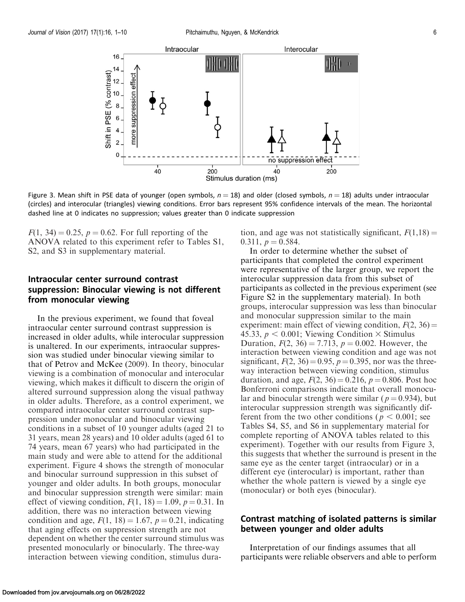<span id="page-5-0"></span>

Figure 3. Mean shift in PSE data of younger (open symbols,  $n = 18$ ) and older (closed symbols,  $n = 18$ ) adults under intraocular (circles) and interocular (triangles) viewing conditions. Error bars represent 95% confidence intervals of the mean. The horizontal dashed line at 0 indicates no suppression; values greater than 0 indicate suppression

 $F(1, 34) = 0.25, p = 0.62$ . For full reporting of the ANOVA related to this experiment refer to [Tables S1,](http://jov.arvojournals.org/data/Journals/JOV/935953/JOV-05264-2016-s11.docx) [S2, and S3 in supplementary material](http://jov.arvojournals.org/data/Journals/JOV/935953/JOV-05264-2016-s11.docx).

### Intraocular center surround contrast suppression: Binocular viewing is not different from monocular viewing

In the previous experiment, we found that foveal intraocular center surround contrast suppression is increased in older adults, while interocular suppression is unaltered. In our experiments, intraocular suppression was studied under binocular viewing similar to that of Petrov and McKee [\(2009](#page-9-0)). In theory, binocular viewing is a combination of monocular and interocular viewing, which makes it difficult to discern the origin of altered surround suppression along the visual pathway in older adults. Therefore, as a control experiment, we compared intraocular center surround contrast suppression under monocular and binocular viewing conditions in a subset of 10 younger adults (aged 21 to 31 years, mean 28 years) and 10 older adults (aged 61 to 74 years, mean 67 years) who had participated in the main study and were able to attend for the additional experiment. [Figure 4](#page-6-0) shows the strength of monocular and binocular surround suppression in this subset of younger and older adults. In both groups, monocular and binocular suppression strength were similar: main effect of viewing condition,  $F(1, 18) = 1.09$ ,  $p = 0.31$ . In addition, there was no interaction between viewing condition and age,  $F(1, 18) = 1.67$ ,  $p = 0.21$ , indicating that aging effects on suppression strength are not dependent on whether the center surround stimulus was presented monocularly or binocularly. The three-way interaction between viewing condition, stimulus duration, and age was not statistically significant,  $F(1,18) =$ 0.311,  $p = 0.584$ .

In order to determine whether the subset of participants that completed the control experiment were representative of the larger group, we report the interocular suppression data from this subset of participants as collected in the previous experiment (see [Figure S2 in the supplementary material](http://jov.arvojournals.org/data/Journals/JOV/935953/JOV-05264-2016-s11.docx)). In both groups, interocular suppression was less than binocular and monocular suppression similar to the main experiment: main effect of viewing condition,  $F(2, 36) =$ 45.33,  $p < 0.001$ ; Viewing Condition  $\times$  Stimulus Duration,  $F(2, 36) = 7.713$ ,  $p = 0.002$ . However, the interaction between viewing condition and age was not significant,  $F(2, 36) = 0.95$ ,  $p = 0.395$ , nor was the threeway interaction between viewing condition, stimulus duration, and age,  $F(2, 36) = 0.216$ ,  $p = 0.806$ . Post hoc Bonferroni comparisons indicate that overall monocular and binocular strength were similar ( $p = 0.934$ ), but interocular suppression strength was significantly different from the two other conditions ( $p < 0.001$ ; see [Tables S4, S5, and S6 in supplementary material](http://jov.arvojournals.org/data/Journals/JOV/935953/JOV-05264-2016-s11.docx) for complete reporting of ANOVA tables related to this experiment). Together with our results from Figure 3, this suggests that whether the surround is present in the same eye as the center target (intraocular) or in a different eye (interocular) is important, rather than whether the whole pattern is viewed by a single eye (monocular) or both eyes (binocular).

#### Contrast matching of isolated patterns is similar between younger and older adults

Interpretation of our findings assumes that all participants were reliable observers and able to perform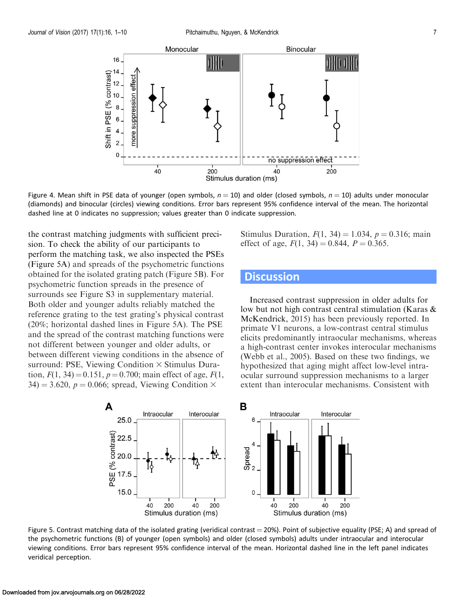16

Monocular



<span id="page-6-0"></span>

Figure 4. Mean shift in PSE data of younger (open symbols,  $n = 10$ ) and older (closed symbols,  $n = 10$ ) adults under monocular (diamonds) and binocular (circles) viewing conditions. Error bars represent 95% confidence interval of the mean. The horizontal dashed line at 0 indicates no suppression; values greater than 0 indicate suppression.

the contrast matching judgments with sufficient precision. To check the ability of our participants to perform the matching task, we also inspected the PSEs (Figure 5A) and spreads of the psychometric functions obtained for the isolated grating patch (Figure 5B). For psychometric function spreads in the presence of surrounds see [Figure S3 in supplementary material](http://jov.arvojournals.org/data/Journals/JOV/935953/JOV-05264-2016-s11.docx). Both older and younger adults reliably matched the reference grating to the test grating's physical contrast (20%; horizontal dashed lines in Figure 5A). The PSE and the spread of the contrast matching functions were not different between younger and older adults, or between different viewing conditions in the absence of surround: PSE, Viewing Condition  $\times$  Stimulus Duration,  $F(1, 34) = 0.151$ ,  $p = 0.700$ ; main effect of age,  $F(1, 1)$  $34$ ) = 3.620, p = 0.066; spread, Viewing Condition  $\times$ 

Stimulus Duration,  $F(1, 34) = 1.034$ ,  $p = 0.316$ ; main effect of age,  $F(1, 34) = 0.844$ ,  $P = 0.365$ .

## **Discussion**

Increased contrast suppression in older adults for low but not high contrast central stimulation (Karas & McKendrick, [2015\)](#page-9-0) has been previously reported. In primate V1 neurons, a low-contrast central stimulus elicits predominantly intraocular mechanisms, whereas a high-contrast center invokes interocular mechanisms (Webb et al., [2005\)](#page-9-0). Based on these two findings, we hypothesized that aging might affect low-level intraocular surround suppression mechanisms to a larger extent than interocular mechanisms. Consistent with



Figure 5. Contrast matching data of the isolated grating (veridical contrast  $=$  20%). Point of subjective equality (PSE; A) and spread of the psychometric functions (B) of younger (open symbols) and older (closed symbols) adults under intraocular and interocular viewing conditions. Error bars represent 95% confidence interval of the mean. Horizontal dashed line in the left panel indicates veridical perception.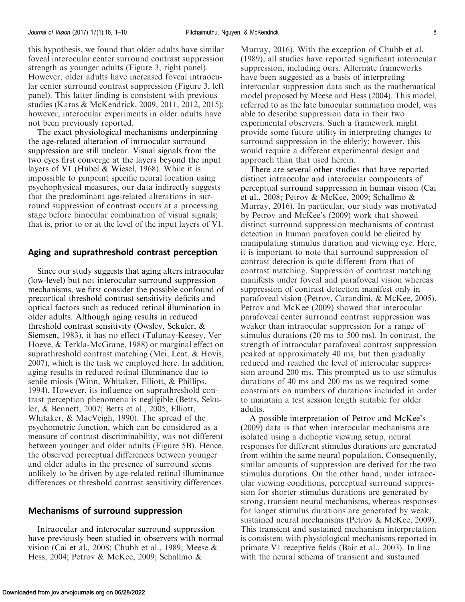this hypothesis, we found that older adults have similar foveal interocular center surround contrast suppression strength as younger adults ([Figure 3](#page-5-0), right panel). However, older adults have increased foveal intraocular center surround contrast suppression [\(Figure 3,](#page-5-0) left panel). This latter finding is consistent with previous studies (Karas & McKendrick, [2009](#page-8-0), [2011, 2012,](#page-8-0) [2015](#page-9-0)); however, interocular experiments in older adults have not been previously reported.

The exact physiological mechanisms underpinning the age-related alteration of intraocular surround suppression are still unclear. Visual signals from the two eyes first converge at the layers beyond the input layers of V1 (Hubel & Wiesel, [1968](#page-8-0)). While it is impossible to pinpoint specific neural location using psychophysical measures, our data indirectly suggests that the predominant age-related alterations in surround suppression of contrast occurs at a processing stage before binocular combination of visual signals; that is, prior to or at the level of the input layers of V1.

#### Aging and suprathreshold contrast perception

Since our study suggests that aging alters intraocular (low-level) but not interocular surround suppression mechanisms, we first consider the possible confound of precortical threshold contrast sensitivity deficits and optical factors such as reduced retinal illumination in older adults. Although aging results in reduced threshold contrast sensitivity (Owsley, Sekuler, & Siemsen, [1983](#page-9-0)), it has no effect (Tulunay-Keesey, Ver Hoeve, & Terkla-McGrane, [1988](#page-9-0)) or marginal effect on suprathreshold contrast matching (Mei, Leat, & Hovis, [2007\)](#page-9-0), which is the task we employed here. In addition, aging results in reduced retinal illuminance due to senile miosis (Winn, Whitaker, Elliott, & Phillips, [1994\)](#page-9-0). However, its influence on suprathreshold contrast perception phenomena is negligible (Betts, Sekuler, & Bennett, [2007](#page-8-0); Betts et al., [2005](#page-8-0); Elliott, Whitaker, & MacVeigh, [1990](#page-8-0)). The spread of the psychometric function, which can be considered as a measure of contrast discriminability, was not different between younger and older adults ([Figure 5B](#page-6-0)). Hence, the observed perceptual differences between younger and older adults in the presence of surround seems unlikely to be driven by age-related retinal illuminance differences or threshold contrast sensitivity differences.

#### Mechanisms of surround suppression

Intraocular and interocular surround suppression have previously been studied in observers with normal vision (Cai et al., [2008;](#page-8-0) Chubb et al., [1989](#page-8-0); Meese & Hess, [2004;](#page-9-0) Petrov & McKee, [2009;](#page-9-0) Schallmo &

Murray, [2016\)](#page-9-0). With the exception of Chubb et al. ([1989](#page-8-0)), all studies have reported significant interocular suppression, including ours. Alternate frameworks have been suggested as a basis of interpreting interocular suppression data such as the mathematical model proposed by Meese and Hess ([2004\)](#page-9-0). This model, referred to as the late binocular summation model, was able to describe suppression data in their two experimental observers. Such a framework might provide some future utility in interpreting changes to surround suppression in the elderly; however, this would require a different experimental design and approach than that used herein.

There are several other studies that have reported distinct intraocular and interocular components of perceptual surround suppression in human vision (Cai et al., [2008;](#page-8-0) Petrov & McKee, [2009;](#page-9-0) Schallmo & Murray, [2016\)](#page-9-0). In particular, our study was motivated by Petrov and McKee's [\(2009](#page-9-0)) work that showed distinct surround suppression mechanisms of contrast detection in human parafovea could be elicited by manipulating stimulus duration and viewing eye. Here, it is important to note that surround suppression of contrast detection is quite different from that of contrast matching. Suppression of contrast matching manifests under foveal and parafoveal vision whereas suppression of contrast detection manifest only in parafoveal vision (Petrov, Carandini, & McKee, [2005](#page-9-0)). Petrov and McKee [\(2009](#page-9-0)) showed that interocular parafoveal center surround contrast suppression was weaker than intraocular suppression for a range of stimulus durations (20 ms to 500 ms). In contrast, the strength of intraocular parafoveal contrast suppression peaked at approximately 40 ms, but then gradually reduced and reached the level of interocular suppression around 200 ms. This prompted us to use stimulus durations of 40 ms and 200 ms as we required some constraints on numbers of durations included in order to maintain a test session length suitable for older adults.

A possible interpretation of Petrov and McKee's ([2009](#page-9-0)) data is that when interocular mechanisms are isolated using a dichoptic viewing setup, neural responses for different stimulus durations are generated from within the same neural population. Consequently, similar amounts of suppression are derived for the two stimulus durations. On the other hand, under intraocular viewing conditions, perceptual surround suppression for shorter stimulus durations are generated by strong, transient neural mechanisms, whereas responses for longer stimulus durations are generated by weak, sustained neural mechanisms (Petrov & McKee, [2009](#page-9-0)). This transient and sustained mechanism interpretation is consistent with physiological mechanisms reported in primate V1 receptive fields (Bair et al., [2003\)](#page-8-0). In line with the neural schema of transient and sustained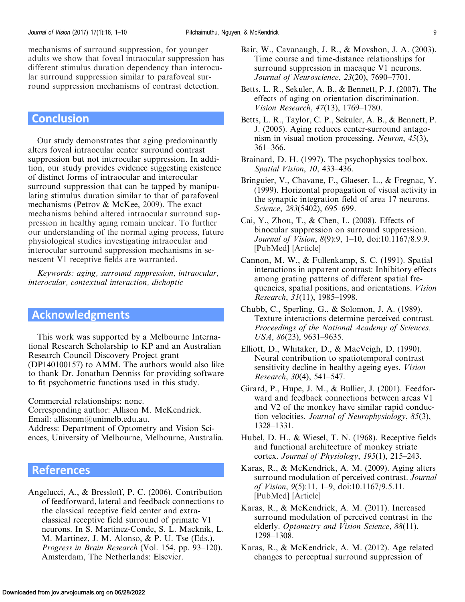<span id="page-8-0"></span>mechanisms of surround suppression, for younger adults we show that foveal intraocular suppression has different stimulus duration dependency than interocular surround suppression similar to parafoveal surround suppression mechanisms of contrast detection.

## **Conclusion**

Our study demonstrates that aging predominantly alters foveal intraocular center surround contrast suppression but not interocular suppression. In addition, our study provides evidence suggesting existence of distinct forms of intraocular and interocular surround suppression that can be tapped by manipulating stimulus duration similar to that of parafoveal mechanisms (Petrov & McKee, [2009](#page-9-0)). The exact mechanisms behind altered intraocular surround suppression in healthy aging remain unclear. To further our understanding of the normal aging process, future physiological studies investigating intraocular and interocular surround suppression mechanisms in senescent V1 receptive fields are warranted.

Keywords: aging, surround suppression, intraocular, interocular, contextual interaction, dichoptic

## Acknowledgments

This work was supported by a Melbourne International Research Scholarship to KP and an Australian Research Council Discovery Project grant (DP140100157) to AMM. The authors would also like to thank Dr. Jonathan Denniss for providing software to fit psychometric functions used in this study.

Commercial relationships: none.

Corresponding author: Allison M. McKendrick. Email: allisonm@unimelb.edu.au.

Address: Department of Optometry and Vision Sci-

ences, University of Melbourne, Melbourne, Australia.

## References

Angelucci, A., & Bressloff, P. C. (2006). Contribution of feedforward, lateral and feedback connections to the classical receptive field center and extraclassical receptive field surround of primate V1 neurons. In S. Martinez-Conde, S. L. Macknik, L. M. Martinez, J. M. Alonso, & P. U. Tse (Eds.), Progress in Brain Research (Vol. 154, pp. 93–120). Amsterdam, The Netherlands: Elsevier.

- Bair, W., Cavanaugh, J. R., & Movshon, J. A. (2003). Time course and time-distance relationships for surround suppression in macaque V1 neurons. Journal of Neuroscience, 23(20), 7690–7701.
- Betts, L. R., Sekuler, A. B., & Bennett, P. J. (2007). The effects of aging on orientation discrimination. Vision Research, 47(13), 1769–1780.
- Betts, L. R., Taylor, C. P., Sekuler, A. B., & Bennett, P. J. (2005). Aging reduces center-surround antagonism in visual motion processing. Neuron, 45(3), 361–366.
- Brainard, D. H. (1997). The psychophysics toolbox. Spatial Vision, 10, 433–436.
- Bringuier, V., Chavane, F., Glaeser, L., & Fregnac, Y. (1999). Horizontal propagation of visual activity in the synaptic integration field of area 17 neurons. Science, 283(5402), 695–699.
- Cai, Y., Zhou, T., & Chen, L. (2008). Effects of binocular suppression on surround suppression. Journal of Vision, 8(9):9, 1–10, doi:10.1167/8.9.9. [[PubMed](https://www.ncbi.nlm.nih.gov/pubmed/18831645)] [[Article\]](http://jov.arvojournals.org/article.aspx?articleid=2193334)
- Cannon, M. W., & Fullenkamp, S. C. (1991). Spatial interactions in apparent contrast: Inhibitory effects among grating patterns of different spatial frequencies, spatial positions, and orientations. Vision Research, 31(11), 1985–1998.
- Chubb, C., Sperling, G., & Solomon, J. A. (1989). Texture interactions determine perceived contrast. Proceedings of the National Academy of Sciences, USA, 86(23), 9631–9635.
- Elliott, D., Whitaker, D., & MacVeigh, D. (1990). Neural contribution to spatiotemporal contrast sensitivity decline in healthy ageing eyes. *Vision* Research, 30(4), 541–547.
- Girard, P., Hupe, J. M., & Bullier, J. (2001). Feedforward and feedback connections between areas V1 and V2 of the monkey have similar rapid conduction velocities. Journal of Neurophysiology, 85(3), 1328–1331.
- Hubel, D. H., & Wiesel, T. N. (1968). Receptive fields and functional architecture of monkey striate cortex. Journal of Physiology, 195(1), 215–243.
- Karas, R., & McKendrick, A. M. (2009). Aging alters surround modulation of perceived contrast. Journal of Vision, 9(5):11, 1–9, doi:10.1167/9.5.11. [[PubMed](https://www.ncbi.nlm.nih.gov/pubmed/19757889)] [[Article\]](http://jov.arvojournals.org/article.aspx?articleid=2122116)
- Karas, R., & McKendrick, A. M. (2011). Increased surround modulation of perceived contrast in the elderly. Optometry and Vision Science, 88(11), 1298–1308.
- Karas, R., & McKendrick, A. M. (2012). Age related changes to perceptual surround suppression of